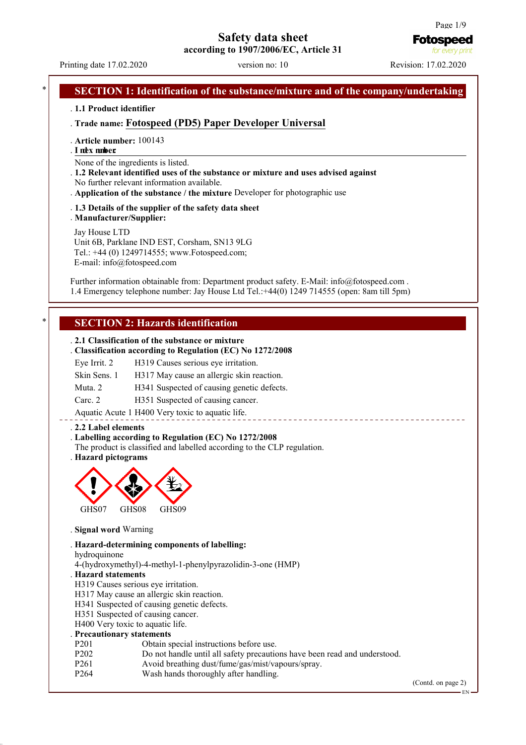# **Safety data sheet**

**according to 1907/2006/EC, Article 31**

Printing date 17.02.2020 version no: 10 Revision: 17.02.2020

**Fotospeed** for every p

#### **SECTION 1: Identification of the substance/mixture and of the company/undertaking**

. **1.1 Product identifier**

. **Trade name: Fotospeed (PD5) Paper Developer Universal**

- . **Article number:** 100143
- . **I nde x numb e r:**

None of the ingredients is listed.

- . **1.2 Relevant identified uses of the substance or mixture and uses advised against** No further relevant information available.
- . **Application of the substance / the mixture** Developer for photographic use
- . **1.3 Details of the supplier of the safety data sheet** . **Manufacturer/Supplier:**

Jay House LTD Unit 6B, Parklane IND EST, Corsham, SN13 9LG Tel.: +44 (0) 1249714555; www.Fotospeed.com; E-mail: info@fotospeed.com

Further information obtainable from: Department product safety. E-Mail: info@fotospeed.com. 1.4 Emergency telephone number: Jay House Ltd Tel.:+44(0) 1249 714555 (open: 8am till 5pm)

# **SECTION 2: Hazards identification**

#### . **2.1 Classification of the substance or mixture** . **Classification according to Regulation (EC) No 1272/2008**

|              | . Classification according to regulation (EC) No 12/2/2008 |
|--------------|------------------------------------------------------------|
| Eye Irrit. 2 | H319 Causes serious eye irritation.                        |
| Skin Sens. 1 | H317 May cause an allergic skin reaction.                  |
| Muta, 2      | H341 Suspected of causing genetic defects.                 |
| Carc. 2      | H351 Suspected of causing cancer.                          |

Aquatic Acute 1 H400 Very toxic to aquatic life.

#### . **2.2 Label elements**

#### . **Labelling according to Regulation (EC) No 1272/2008**

The product is classified and labelled according to the CLP regulation.

. **Hazard pictograms**



. **Signal word** Warning

. **Hazard-determining components of labelling:**

hydroquinone

4-(hydroxymethyl)-4-methyl-1-phenylpyrazolidin-3-one (HMP)

#### . **Hazard statements**

H319 Causes serious eye irritation.

H317 May cause an allergic skin reaction.

H341 Suspected of causing genetic defects.

H351 Suspected of causing cancer.

H400 Very toxic to aquatic life.

#### . **Precautionary statements**

- P201 Obtain special instructions before use.<br>P202 Do not handle until all safety precautic
- P202 Do not handle until all safety precautions have been read and understood.<br>P261 Avoid breathing dust/fume/gas/mist/vapours/spray.
- P261 Avoid breathing dust/fume/gas/mist/vapours/spray.<br>P264 Wash hands thoroughly after handling
- Wash hands thoroughly after handling.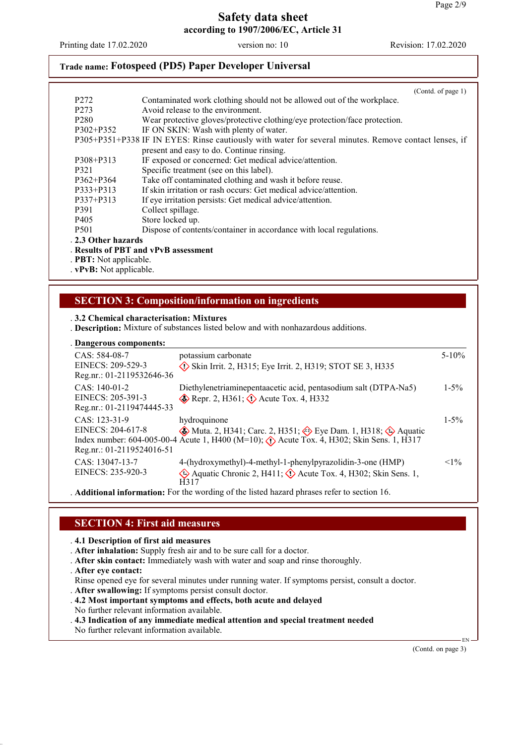Printing date 17.02.2020 version no: 10 Revision: 17.02.2020

# **Trade name: Fotospeed (PD5) Paper Developer Universal**

|                             | (Cond. of page 1)                                                                                     |
|-----------------------------|-------------------------------------------------------------------------------------------------------|
| P <sub>272</sub>            | Contaminated work clothing should not be allowed out of the workplace.                                |
| P <sub>273</sub>            | Avoid release to the environment.                                                                     |
| P <sub>280</sub>            | Wear protective gloves/protective clothing/eye protection/face protection.                            |
| P302+P352                   | IF ON SKIN: Wash with plenty of water.                                                                |
|                             | P305+P351+P338 IF IN EYES: Rinse cautiously with water for several minutes. Remove contact lenses, if |
|                             | present and easy to do. Continue rinsing.                                                             |
| P308+P313                   | IF exposed or concerned: Get medical advice/attention.                                                |
| P321                        | Specific treatment (see on this label).                                                               |
| $P362 + P364$               | Take off contaminated clothing and wash it before reuse.                                              |
| $P333 + P313$               | If skin irritation or rash occurs: Get medical advice/attention.                                      |
| P337+P313                   | If eye irritation persists: Get medical advice/attention.                                             |
| P391                        | Collect spillage.                                                                                     |
| P <sub>405</sub>            | Store locked up.                                                                                      |
| P <sub>501</sub>            | Dispose of contents/container in accordance with local regulations.                                   |
| . 2.3 Other hazards         |                                                                                                       |
|                             | Results of PBT and vPvB assessment                                                                    |
| <b>PBT:</b> Not applicable. |                                                                                                       |
| . vPvB: Not applicable.     |                                                                                                       |

# **SECTION 3: Composition/information on ingredients**

#### . **3.2 Chemical characterisation: Mixtures**

. **Description:** Mixture of substances listed below and with nonhazardous additions.

|  |  |  |  | . Dangerous components: |
|--|--|--|--|-------------------------|
|--|--|--|--|-------------------------|

| <b>Dancer cas components</b>                                      |                                                                                                                                                                                                                                    |            |
|-------------------------------------------------------------------|------------------------------------------------------------------------------------------------------------------------------------------------------------------------------------------------------------------------------------|------------|
| CAS: 584-08-7<br>EINECS: 209-529-3<br>Reg.nr.: 01-2119532646-36   | potassium carbonate<br>$\diamond$ Skin Irrit. 2, H315; Eye Irrit. 2, H319; STOT SE 3, H335                                                                                                                                         | $5 - 10\%$ |
| $CAS: 140-01-2$<br>EINECS: 205-391-3<br>Reg.nr.: 01-2119474445-33 | Diethylenetriaminepentaacetic acid, pentasodium salt (DTPA-Na5)<br>Repr. 2, H361; $\Diamond$ Acute Tox. 4, H332                                                                                                                    | $1 - 5\%$  |
| CAS: 123-31-9<br>EINECS: 204-617-8<br>Reg.nr.: 01-2119524016-51   | hydroquinone<br>$\circledast$ Muta. 2, H341; Carc. 2, H351; $\circledast$ Eye Dam. 1, H318; $\circledast$ Aquatic<br>Index number: 604-005-00-4 Acute 1, H400 (M=10); $\Diamond$ Acute Tox. 4, H302; Skin Sens. 1, H317            | $1 - 5\%$  |
| CAS: 13047-13-7<br>EINECS: 235-920-3                              | 4-(hydroxymethyl)-4-methyl-1-phenylpyrazolidin-3-one (HMP)<br>Aquatic Chronic 2, H411; $\Diamond$ Acute Tox. 4, H302; Skin Sens. 1,<br>H317                                                                                        | $<1\%$     |
|                                                                   | $\lambda$ . The state of the state of the state of the state of the state of the state of the state of the state of the state of the state of the state of the state of the state of the state of the state of the state of the st |            |

. **Additional information:** For the wording of the listed hazard phrases refer to section 16.

# **SECTION 4: First aid measures**

. **4.1 Description of first aid measures**

- . **After inhalation:** Supply fresh air and to be sure call for a doctor.
- . **After skin contact:** Immediately wash with water and soap and rinse thoroughly.
- . **After eye contact:**

Rinse opened eye for several minutes under running water. If symptoms persist, consult a doctor.

- . **After swallowing:** If symptoms persist consult doctor.
- . **4.2 Most important symptoms and effects, both acute and delayed**
- No further relevant information available.
- . **4.3 Indication of any immediate medical attention and special treatment needed** No further relevant information available.

(Contd. on page 3)

EN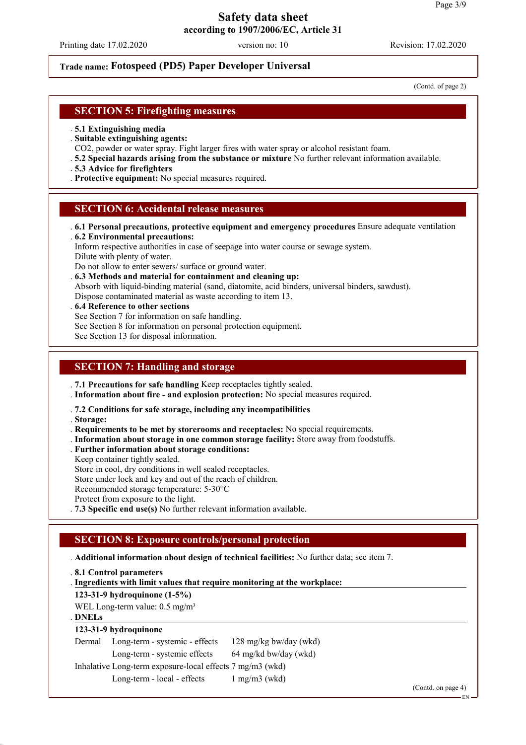Printing date 17.02.2020 version no: 10 Revision: 17.02.2020

# **Trade name: Fotospeed (PD5) Paper Developer Universal**

(Contd. of page 2)

## **SECTION 5: Firefighting measures**

- . **5.1 Extinguishing media**
- . **Suitable extinguishing agents:**
- CO2, powder or water spray. Fight larger fires with water spray or alcohol resistant foam.
- . **5.2 Special hazards arising from the substance or mixture** No further relevant information available.
- . **5.3 Advice for firefighters**
- . **Protective equipment:** No special measures required.

#### **SECTION 6: Accidental release measures**

. **6.1 Personal precautions, protective equipment and emergency procedures** Ensure adequate ventilation . **6.2 Environmental precautions:**

Inform respective authorities in case of seepage into water course or sewage system. Dilute with plenty of water.

Do not allow to enter sewers/ surface or ground water.

. **6.3 Methods and material for containment and cleaning up:** Absorb with liquid-binding material (sand, diatomite, acid binders, universal binders, sawdust). Dispose contaminated material as waste according to item 13.

- . **6.4 Reference to other sections**
- See Section 7 for information on safe handling.
- See Section 8 for information on personal protection equipment.

See Section 13 for disposal information.

# **SECTION 7: Handling and storage**

. **7.1 Precautions for safe handling** Keep receptacles tightly sealed.

. **Information about fire - and explosion protection:** No special measures required.

. **7.2 Conditions for safe storage, including any incompatibilities**

- . **Storage:**
- . **Requirements to be met by storerooms and receptacles:** No special requirements.
- . **Information about storage in one common storage facility:** Store away from foodstuffs.
- . **Further information about storage conditions:**
- Keep container tightly sealed.

Store in cool, dry conditions in well sealed receptacles.

Store under lock and key and out of the reach of children.

Recommended storage temperature: 5-30°C

Protect from exposure to the light.

. **7.3 Specific end use(s)** No further relevant information available.

# **SECTION 8: Exposure controls/personal protection**

#### . **Additional information about design of technical facilities:** No further data; see item 7.

. **8.1 Control parameters**

**Ingredients with limit values that require monitoring at the workplace:** .

**123-31-9 hydroquinone (1-5%)**

WEL Long-term value: 0.5 mg/m<sup>3</sup>

#### **DNELs** .

# **123-31-9 hydroquinone**

| Dermal Long-term - systemic - effects | 128 mg/kg bw/day (wkd) |
|---------------------------------------|------------------------|
|                                       |                        |

Long-term - systemic effects 64 mg/kd bw/day (wkd)

Inhalative Long-term exposure-local effects 7 mg/m3 (wkd)

Long-term - local - effects 1 mg/m3 (wkd)

(Contd. on page 4)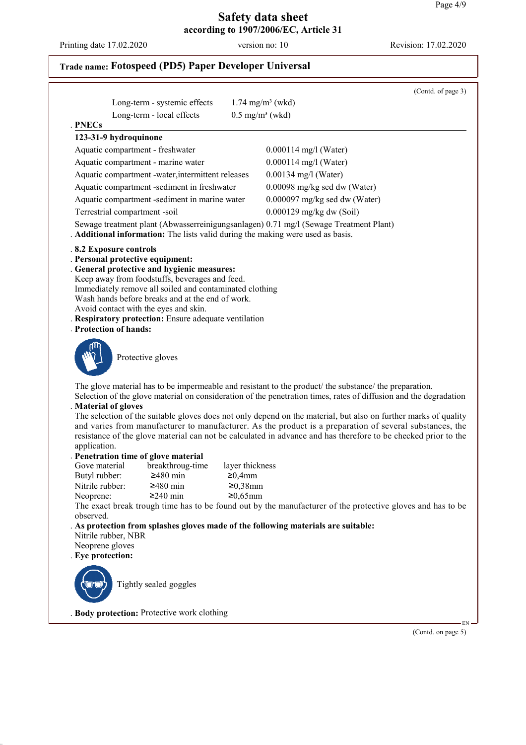Printing date 17.02.2020 version no: 10 Revision: 17.02.2020

(Contd. of page 3)

# Long-term - systemic effects  $1.74$  mg/m<sup>3</sup> (wkd) Long-term - local effects  $0.5 \text{ mg/m}^3$  (wkd) **PNECs** . **123-31-9 hydroquinone** Aquatic compartment - freshwater 0.000114 mg/l (Water) Aquatic compartment - marine water 0.000114 mg/l (Water) Aquatic compartment -water,intermittent releases 0.00134 mg/l (Water)

**Trade name: Fotospeed (PD5) Paper Developer Universal**

Aquatic compartment -sediment in freshwater 0.00098 mg/kg sed dw (Water) Aquatic compartment -sediment in marine water 0.000097 mg/kg sed dw (Water)

Terrestrial compartment -soil 0.000129 mg/kg dw (Soil)

Sewage treatment plant (Abwasserreinigungsanlagen) 0.71 mg/l (Sewage Treatment Plant)

. **Additional information:** The lists valid during the making were used as basis.

#### . **8.2 Exposure controls**

- . **Personal protective equipment:**
- . **General protective and hygienic measures:**
- Keep away from foodstuffs, beverages and feed.
- Immediately remove all soiled and contaminated clothing
- Wash hands before breaks and at the end of work.
- Avoid contact with the eyes and skin.
- . **Respiratory protection:** Ensure adequate ventilation
- . **Protection of hands:**



Protective gloves

The glove material has to be impermeable and resistant to the product/ the substance/ the preparation.

Selection of the glove material on consideration of the penetration times, rates of diffusion and the degradation . **Material of gloves**

The selection of the suitable gloves does not only depend on the material, but also on further marks of quality and varies from manufacturer to manufacturer. As the product is a preparation of several substances, the resistance of the glove material can not be calculated in advance and has therefore to be checked prior to the application.

#### . **Penetration time of glove material**

| Gove material   | breakthroug-time | layer thickness |
|-----------------|------------------|-----------------|
| Butyl rubber:   | $\geq$ 480 min   | $\geq 0.4$ mm   |
| Nitrile rubber: | $\geq$ 480 min   | $≥0,38$ mm      |
| Neoprene:       | $\geq$ 240 min   | $≥0,65$ mm      |

The exact break trough time has to be found out by the manufacturer of the protective gloves and has to be observed.

# . **As protection from splashes gloves made of the following materials are suitable:**

- Nitrile rubber, NBR
- Neoprene gloves . **Eye protection:**



Tightly sealed goggles

. **Body protection:** Protective work clothing

 EN (Contd. on page 5)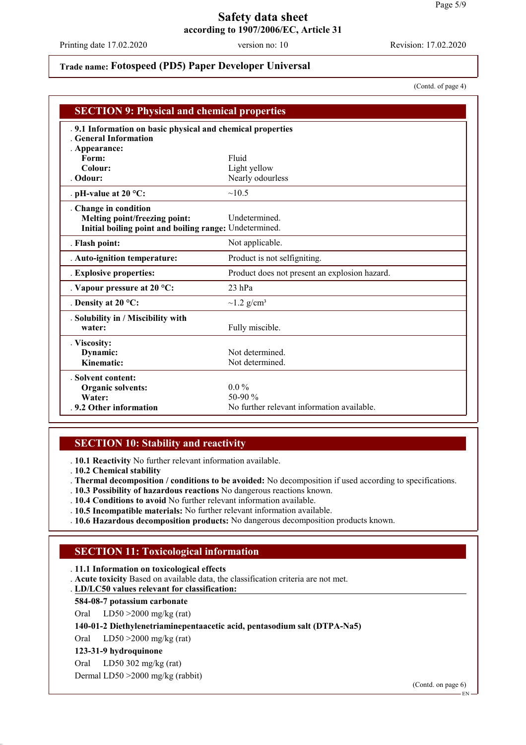Printing date 17.02.2020 version no: 10 Revision: 17.02.2020

# **Trade name: Fotospeed (PD5) Paper Developer Universal**

(Contd. of page 4)

| <b>SECTION 9: Physical and chemical properties</b>                                                             |                                               |  |
|----------------------------------------------------------------------------------------------------------------|-----------------------------------------------|--|
| . 9.1 Information on basic physical and chemical properties<br><b>General Information</b><br>. Appearance:     |                                               |  |
| Form:                                                                                                          | Fluid                                         |  |
| Colour:                                                                                                        | Light yellow                                  |  |
| . Odour:                                                                                                       | Nearly odourless                              |  |
| . pH-value at $20 °C$ :                                                                                        | ~10.5                                         |  |
| Change in condition<br>Melting point/freezing point:<br>Initial boiling point and boiling range: Undetermined. | Undetermined.                                 |  |
| . Flash point:                                                                                                 | Not applicable.                               |  |
| . Auto-ignition temperature:                                                                                   | Product is not selfigniting.                  |  |
| . Explosive properties:                                                                                        | Product does not present an explosion hazard. |  |
| . Vapour pressure at $20^{\circ}$ C:                                                                           | $23$ hPa                                      |  |
| . Density at $20^{\circ}$ C:                                                                                   | $\sim$ 1.2 g/cm <sup>3</sup>                  |  |
| . Solubility in / Miscibility with<br>water:                                                                   | Fully miscible.                               |  |
| . Viscosity:                                                                                                   |                                               |  |
| Dynamic:                                                                                                       | Not determined.                               |  |
| Kinematic:                                                                                                     | Not determined.                               |  |
| . Solvent content:                                                                                             |                                               |  |
| Organic solvents:                                                                                              | $0.0\%$                                       |  |
| Water:                                                                                                         | 50-90 $%$                                     |  |
| .9.2 Other information                                                                                         | No further relevant information available.    |  |

# **SECTION 10: Stability and reactivity**

. **10.1 Reactivity** No further relevant information available.

. **10.2 Chemical stability**

. **Thermal decomposition / conditions to be avoided:** No decomposition if used according to specifications.

- . **10.3 Possibility of hazardous reactions** No dangerous reactions known.
- . **10.4 Conditions to avoid** No further relevant information available.
- . **10.5 Incompatible materials:** No further relevant information available.
- . **10.6 Hazardous decomposition products:** No dangerous decomposition products known.

# **SECTION 11: Toxicological information**

. **11.1 Information on toxicological effects**

. **Acute toxicity** Based on available data, the classification criteria are not met.

**LD/LC50 values relevant for classification:** .

#### **584-08-7 potassium carbonate**

Oral LD50 >2000 mg/kg (rat)

#### **140-01-2 Diethylenetriaminepentaacetic acid, pentasodium salt (DTPA-Na5)**

Oral LD50 >2000 mg/kg (rat)

#### **123-31-9 hydroquinone**

Oral LD50 302 mg/kg (rat)

Dermal LD50 >2000 mg/kg (rabbit)

(Contd. on page 6)

EN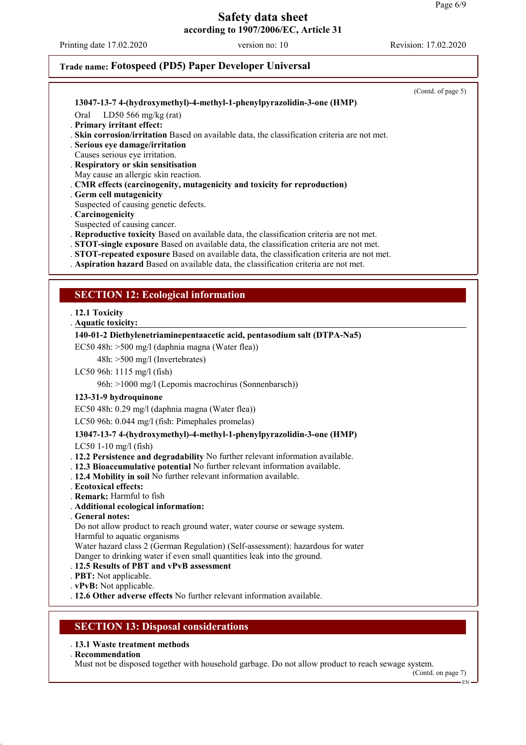Printing date 17.02.2020 version no: 10 Revision: 17.02.2020

# **Trade name: Fotospeed (PD5) Paper Developer Universal**

(Contd. of page 5) **13047-13-7 4-(hydroxymethyl)-4-methyl-1-phenylpyrazolidin-3-one (HMP)** Oral LD50 566 mg/kg (rat) . **Primary irritant effect:** . **Skin corrosion/irritation** Based on available data, the classification criteria are not met. . **Serious eye damage/irritation** Causes serious eye irritation. . **Respiratory or skin sensitisation** May cause an allergic skin reaction. . **CMR effects (carcinogenity, mutagenicity and toxicity for reproduction)** . **Germ cell mutagenicity** Suspected of causing genetic defects. . **Carcinogenicity** Suspected of causing cancer. . **Reproductive toxicity** Based on available data, the classification criteria are not met. . **STOT-single exposure** Based on available data, the classification criteria are not met. . **STOT-repeated exposure** Based on available data, the classification criteria are not met. . **Aspiration hazard** Based on available data, the classification criteria are not met. **SECTION 12: Ecological information** . **12.1 Toxicity Aquatic toxicity:** . **140-01-2 Diethylenetriaminepentaacetic acid, pentasodium salt (DTPA-Na5)** EC50 48h: >500 mg/l (daphnia magna (Water flea)) 48h: >500 mg/l (Invertebrates) LC50 96h: 1115 mg/l (fish) 96h: >1000 mg/l (Lepomis macrochirus (Sonnenbarsch)) **123-31-9 hydroquinone** EC50 48h: 0.29 mg/l (daphnia magna (Water flea)) LC50 96h: 0.044 mg/l (fish: Pimephales promelas) **13047-13-7 4-(hydroxymethyl)-4-methyl-1-phenylpyrazolidin-3-one (HMP)** LC50 1-10 mg/l (fish) . **12.2 Persistence and degradability** No further relevant information available. . **12.3 Bioaccumulative potential** No further relevant information available. . **12.4 Mobility in soil** No further relevant information available. . **Ecotoxical effects:** . **Remark:** Harmful to fish . **Additional ecological information:** . **General notes:** Do not allow product to reach ground water, water course or sewage system. Harmful to aquatic organisms Water hazard class 2 (German Regulation) (Self-assessment): hazardous for water Danger to drinking water if even small quantities leak into the ground. . **12.5 Results of PBT and vPvB assessment** . **PBT:** Not applicable. . **vPvB:** Not applicable. . **12.6 Other adverse effects** No further relevant information available. **SECTION 13: Disposal considerations** . **13.1 Waste treatment methods**

. **Recommendation**

Must not be disposed together with household garbage. Do not allow product to reach sewage system.

(Contd. on page 7)

EN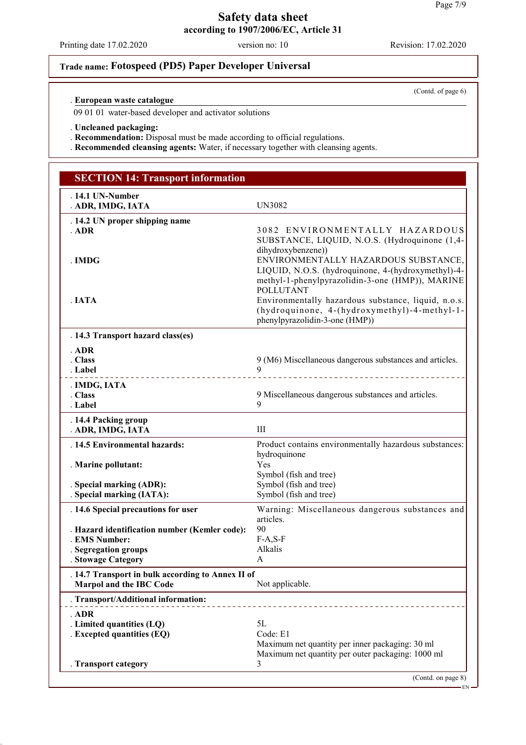# **Safety data sheet**

Printing date 17.02.2020 version no: 10 Revision: 17.02.2020

# **Trade name: Fotospeed (PD5) Paper Developer Universal**

**European waste catalogue** .

09 01 01 water-based developer and activator solutions

. **Uncleaned packaging:**

. **Recommendation:** Disposal must be made according to official regulations.

. **Recommended cleansing agents:** Water, if necessary together with cleansing agents.

| <b>SECTION 14: Transport information</b>                                                               |                                                                                                                                                                     |  |
|--------------------------------------------------------------------------------------------------------|---------------------------------------------------------------------------------------------------------------------------------------------------------------------|--|
| . 14.1 UN-Number<br>. ADR, IMDG, IATA                                                                  | UN3082                                                                                                                                                              |  |
| . 14.2 UN proper shipping name<br>$.$ ADR                                                              | 3082 ENVIRONMENTALLY HAZARDOUS<br>SUBSTANCE, LIQUID, N.O.S. (Hydroquinone (1,4-                                                                                     |  |
| . IMDG                                                                                                 | dihydroxybenzene))<br>ENVIRONMENTALLY HAZARDOUS SUBSTANCE,<br>LIQUID, N.O.S. (hydroquinone, 4-(hydroxymethyl)-4-<br>methyl-1-phenylpyrazolidin-3-one (HMP)), MARINE |  |
| IATA                                                                                                   | <b>POLLUTANT</b><br>Environmentally hazardous substance, liquid, n.o.s.<br>(hydroquinone, 4-(hydroxymethyl)-4-methyl-1-<br>phenylpyrazolidin-3-one (HMP))           |  |
| . 14.3 Transport hazard class(es)                                                                      |                                                                                                                                                                     |  |
| ADR<br>. Class<br>. Label<br>____________________                                                      | 9 (M6) Miscellaneous dangerous substances and articles.<br>9<br>__________________________________                                                                  |  |
| . IMDG, IATA<br>. Class<br>. Label                                                                     | 9 Miscellaneous dangerous substances and articles.<br>9                                                                                                             |  |
| . 14.4 Packing group<br>. ADR, IMDG, IATA                                                              | III                                                                                                                                                                 |  |
| . 14.5 Environmental hazards:                                                                          | Product contains environmentally hazardous substances:<br>hydroquinone                                                                                              |  |
| . Marine pollutant:                                                                                    | Yes<br>Symbol (fish and tree)                                                                                                                                       |  |
| . Special marking (ADR):<br>. Special marking (IATA):                                                  | Symbol (fish and tree)<br>Symbol (fish and tree)                                                                                                                    |  |
| . 14.6 Special precautions for user                                                                    | Warning: Miscellaneous dangerous substances and<br>articles.                                                                                                        |  |
| . Hazard identification number (Kemler code):<br>. EMS Number:                                         | 90<br>$F-A, S-F$                                                                                                                                                    |  |
| . Segregation groups<br>. Stowage Category                                                             | Alkalis<br>A                                                                                                                                                        |  |
| . 14.7 Transport in bulk according to Annex II of<br><b>Marpol and the IBC Code</b><br>Not applicable. |                                                                                                                                                                     |  |
| . Transport/Additional information:                                                                    |                                                                                                                                                                     |  |
| . ADR                                                                                                  |                                                                                                                                                                     |  |
| . Limited quantities (LQ)<br>. Excepted quantities (EQ)                                                | 5L<br>Code: E1<br>Maximum net quantity per inner packaging: 30 ml                                                                                                   |  |
| . Transport category                                                                                   | Maximum net quantity per outer packaging: 1000 ml<br>3<br>(Contd. on page 8)                                                                                        |  |

EN

(Contd. of page 6)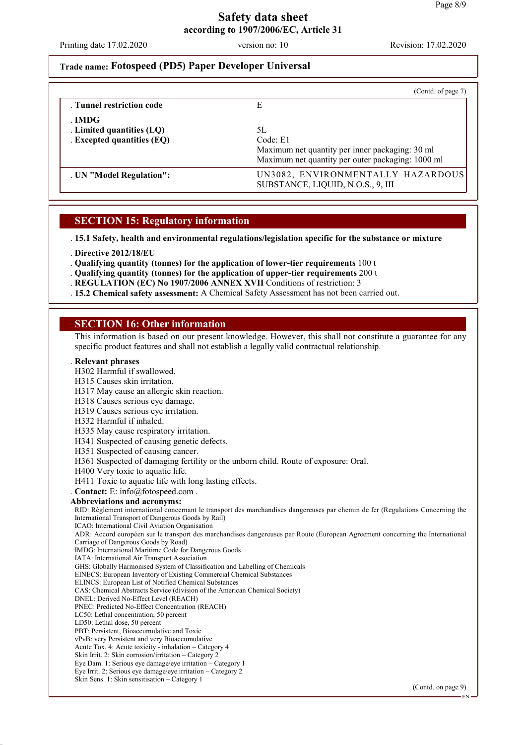Printing date 17.02.2020 version no: 10 Revision: 17.02.2020

## **Trade name: Fotospeed (PD5) Paper Developer Universal**

|                                                                   | (Contd. of page 7)                                                                                                     |
|-------------------------------------------------------------------|------------------------------------------------------------------------------------------------------------------------|
| . Tunnel restriction code                                         | E                                                                                                                      |
| . IMDG<br>. Limited quantities (LQ)<br>. Excepted quantities (EQ) | 5L<br>Code: E1<br>Maximum net quantity per inner packaging: 30 ml<br>Maximum net quantity per outer packaging: 1000 ml |
| . UN "Model Regulation":                                          | UN3082, ENVIRONMENTALLY HAZARDOUS<br>SUBSTANCE, LIQUID, N.O.S., 9, III                                                 |

#### **SECTION 15: Regulatory information**

. **15.1 Safety, health and environmental regulations/legislation specific for the substance or mixture**

- . **Directive 2012/18/EU**
- . **Qualifying quantity (tonnes) for the application of lower-tier requirements** 100 t
- . **Qualifying quantity (tonnes) for the application of upper-tier requirements** 200 t
- . **REGULATION (EC) No 1907/2006 ANNEX XVII** Conditions of restriction: 3
- . **15.2 Chemical safety assessment:** A Chemical Safety Assessment has not been carried out.

#### **SECTION 16: Other information**

This information is based on our present knowledge. However, this shall not constitute a guarantee for any specific product features and shall not establish a legally valid contractual relationship.

#### . **Relevant phrases**

- H302 Harmful if swallowed.
- H315 Causes skin irritation.
- H317 May cause an allergic skin reaction.
- H318 Causes serious eye damage.
- H319 Causes serious eye irritation.
- H332 Harmful if inhaled.
- H335 May cause respiratory irritation.
- H341 Suspected of causing genetic defects.
- H351 Suspected of causing cancer.
- H361 Suspected of damaging fertility or the unborn child. Route of exposure: Oral.
- H400 Very toxic to aquatic life.
- H411 Toxic to aquatic life with long lasting effects.
- . **Contact:** E: info@fotospeed.com .
- **Abbreviations and acronyms:**

RID: Règlement international concernant le transport des marchandises dangereuses par chemin de fer (Regulations Concerning the International Transport of Dangerous Goods by Rail)

ICAO: International Civil Aviation Organisation

ADR: Accord européen sur le transport des marchandises dangereuses par Route (European Agreement concerning the International Carriage of Dangerous Goods by Road)

- IMDG: International Maritime Code for Dangerous Goods
- IATA: International Air Transport Association
- GHS: Globally Harmonised System of Classification and Labelling of Chemicals
- EINECS: European Inventory of Existing Commercial Chemical Substances
- ELINCS: European List of Notified Chemical Substances
- CAS: Chemical Abstracts Service (division of the American Chemical Society)
- DNEL: Derived No-Effect Level (REACH)
- PNEC: Predicted No-Effect Concentration (REACH)
- LC50: Lethal concentration, 50 percent
- LD50: Lethal dose, 50 percent
- PBT: Persistent, Bioaccumulative and Toxic
- vPvB: very Persistent and very Bioaccumulative Acute Tox. 4: Acute toxicity - inhalation – Category 4
- Skin Irrit. 2: Skin corrosion/irritation Category 2
- Eye Dam. 1: Serious eye damage/eye irritation Category 1
- Eye Irrit. 2: Serious eye damage/eye irritation Category 2
- Skin Sens. 1: Skin sensitisation Category 1

(Contd. on page 9)

EN